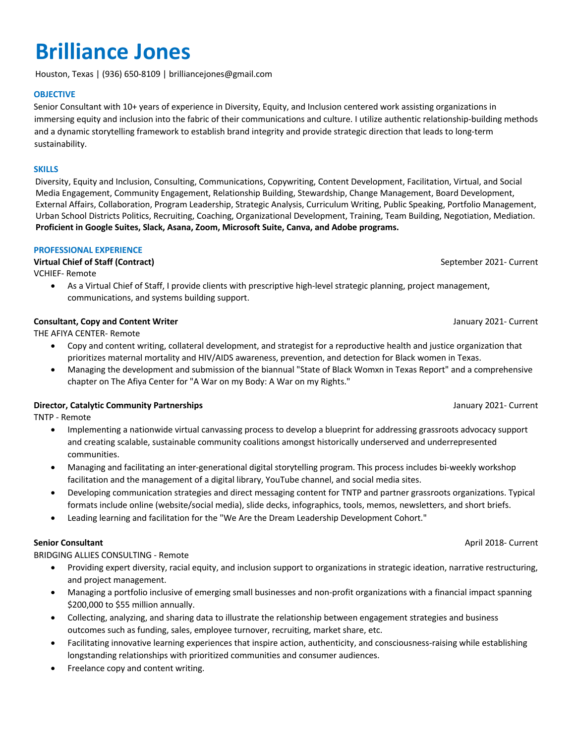# **Brilliance Jones**

Houston, Texas | (936) 650-8109 | brilliancejones@gmail.com

# **OBJECTIVE**

Senior Consultant with 10+ years of experience in Diversity, Equity, and Inclusion centered work assisting organizations in immersing equity and inclusion into the fabric of their communications and culture. I utilize authentic relationship-building methods and a dynamic storytelling framework to establish brand integrity and provide strategic direction that leads to long-term sustainability.

# **SKILLS**

Diversity, Equity and Inclusion, Consulting, Communications, Copywriting, Content Development, Facilitation, Virtual, and Social Media Engagement, Community Engagement, Relationship Building, Stewardship, Change Management, Board Development, External Affairs, Collaboration, Program Leadership, Strategic Analysis, Curriculum Writing, Public Speaking, Portfolio Management, Urban School Districts Politics, Recruiting, Coaching, Organizational Development, Training, Team Building, Negotiation, Mediation. **Proficient in Google Suites, Slack, Asana, Zoom, Microsoft Suite, Canva, and Adobe programs.**

# **PROFESSIONAL EXPERIENCE**

# **Virtual Chief of Staff (Contract)** September 2021- Current

VCHIEF- Remote

• As a Virtual Chief of Staff, I provide clients with prescriptive high-level strategic planning, project management, communications, and systems building support.

# **Consultant, Copy and Content Writer** January 2021- Current Actual Acts and Content Writer

THE AFIYA CENTER- Remote

- Copy and content writing, collateral development, and strategist for a reproductive health and justice organization that prioritizes maternal mortality and HIV/AIDS awareness, prevention, and detection for Black women in Texas.
- Managing the development and submission of the biannual "State of Black Womxn in Texas Report" and a comprehensive chapter on The Afiya Center for "A War on my Body: A War on my Rights."

# **Director, Catalytic Community Partnerships** January 2021- Current

TNTP - Remote

- Implementing a nationwide virtual canvassing process to develop a blueprint for addressing grassroots advocacy support and creating scalable, sustainable community coalitions amongst historically underserved and underrepresented communities.
- Managing and facilitating an inter-generational digital storytelling program. This process includes bi-weekly workshop facilitation and the management of a digital library, YouTube channel, and social media sites.
- Developing communication strategies and direct messaging content for TNTP and partner grassroots organizations. Typical formats include online (website/social media), slide decks, infographics, tools, memos, newsletters, and short briefs.
- Leading learning and facilitation for the "We Are the Dream Leadership Development Cohort."

BRIDGING ALLIES CONSULTING - Remote

- Providing expert diversity, racial equity, and inclusion support to organizations in strategic ideation, narrative restructuring, and project management.
- Managing a portfolio inclusive of emerging small businesses and non-profit organizations with a financial impact spanning \$200,000 to \$55 million annually.
- Collecting, analyzing, and sharing data to illustrate the relationship between engagement strategies and business outcomes such as funding, sales, employee turnover, recruiting, market share, etc.
- Facilitating innovative learning experiences that inspire action, authenticity, and consciousness-raising while establishing longstanding relationships with prioritized communities and consumer audiences.
- Freelance copy and content writing.

**Senior Consultant** April 2018- Current April 2018- Current April 2018- Current April 2018- Current April 2018- Current